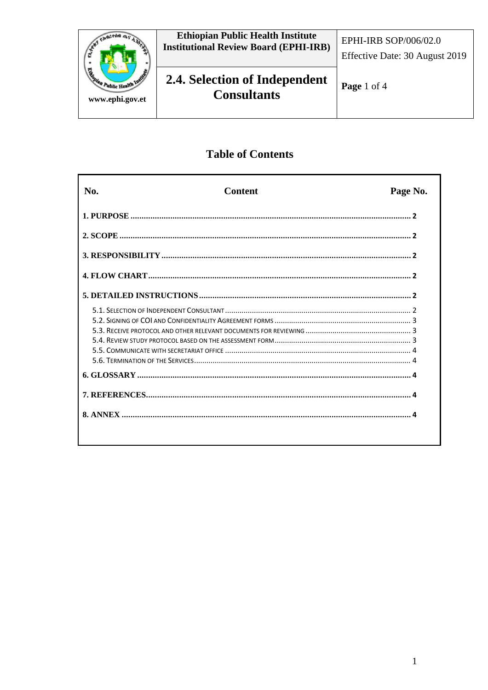

# **Table of Contents**

| No. | <b>Content</b> | Page No. |
|-----|----------------|----------|
|     |                |          |
|     |                |          |
|     |                |          |
|     |                |          |
|     |                |          |
|     |                |          |
|     |                |          |
|     |                |          |
|     |                |          |
|     |                |          |
|     |                |          |
|     |                |          |
|     |                |          |
|     |                |          |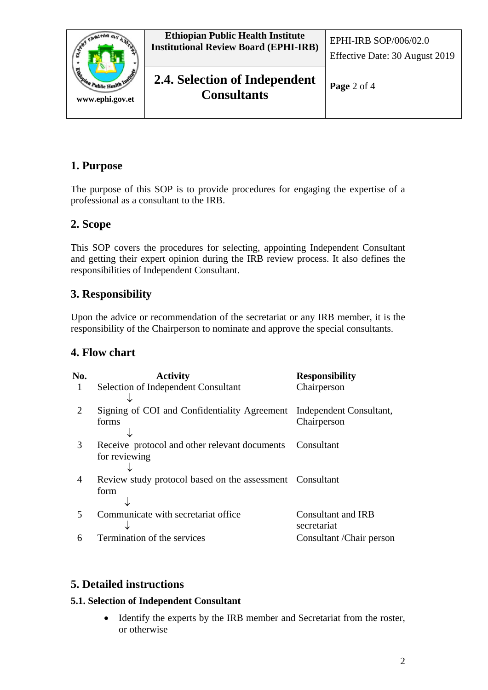

# **1. Purpose**

The purpose of this SOP is to provide procedures for engaging the expertise of a professional as a consultant to the IRB.

## **2. Scope**

This SOP covers the procedures for selecting, appointing Independent Consultant and getting their expert opinion during the IRB review process. It also defines the responsibilities of Independent Consultant.

# **3. Responsibility**

Upon the advice or recommendation of the secretariat or any IRB member, it is the responsibility of the Chairperson to nominate and approve the special consultants.

## **4. Flow chart**

| No.                         | <b>Activity</b>                                                      | <b>Responsibility</b>     |
|-----------------------------|----------------------------------------------------------------------|---------------------------|
|                             | Selection of Independent Consultant                                  | Chairperson               |
|                             |                                                                      |                           |
| $\mathcal{D}_{\mathcal{L}}$ | Signing of COI and Confidentiality Agreement Independent Consultant, |                           |
|                             | forms                                                                | Chairperson               |
|                             |                                                                      |                           |
| 3                           | Receive protocol and other relevant documents Consultant             |                           |
|                             | for reviewing                                                        |                           |
|                             |                                                                      |                           |
| 4                           | Review study protocol based on the assessment Consultant             |                           |
|                             | form                                                                 |                           |
|                             |                                                                      |                           |
| 5                           | Communicate with secretariat office                                  | Consultant and IRB        |
|                             |                                                                      | secretariat               |
| 6                           | Termination of the services                                          | Consultant / Chair person |
|                             |                                                                      |                           |

## **5. Detailed instructions**

#### **5.1. Selection of Independent Consultant**

• Identify the experts by the IRB member and Secretariat from the roster, or otherwise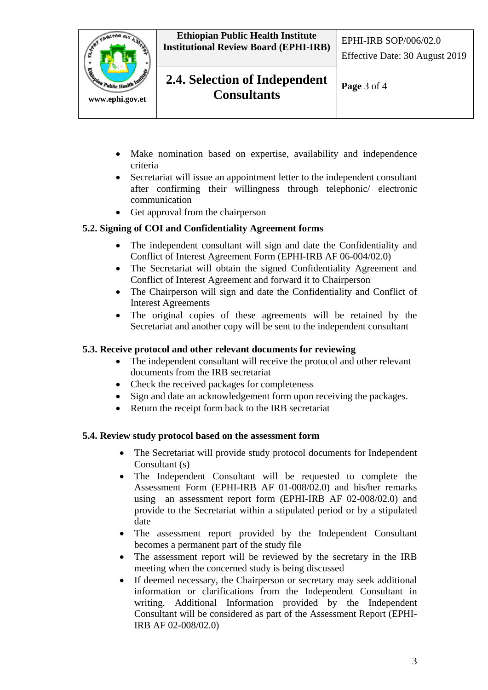

**Ethiopian Public Health Institute Institutional Review Board (EPHI-IRB)** EPHI-IRB SOP/006/02.0

# **2.4. Selection of Independent**  $\vert_{\text{Page 3 of 4}}$ **Consultants**

- Make nomination based on expertise, availability and independence criteria
- Secretariat will issue an appointment letter to the independent consultant after confirming their willingness through telephonic/ electronic communication
- Get approval from the chairperson

### **5.2. Signing of COI and Confidentiality Agreement forms**

- The independent consultant will sign and date the Confidentiality and Conflict of Interest Agreement Form (EPHI-IRB AF 06-004/02.0)
- The Secretariat will obtain the signed Confidentiality Agreement and Conflict of Interest Agreement and forward it to Chairperson
- The Chairperson will sign and date the Confidentiality and Conflict of Interest Agreements
- The original copies of these agreements will be retained by the Secretariat and another copy will be sent to the independent consultant

#### **5.3. Receive protocol and other relevant documents for reviewing**

- The independent consultant will receive the protocol and other relevant documents from the IRB secretariat
- Check the received packages for completeness
- Sign and date an acknowledgement form upon receiving the packages.
- Return the receipt form back to the IRB secretariat

#### **5.4. Review study protocol based on the assessment form**

- The Secretariat will provide study protocol documents for Independent Consultant (s)
- The Independent Consultant will be requested to complete the Assessment Form (EPHI-IRB AF 01-008/02.0) and his/her remarks using an assessment report form (EPHI-IRB AF 02-008/02.0) and provide to the Secretariat within a stipulated period or by a stipulated date
- The assessment report provided by the Independent Consultant becomes a permanent part of the study file
- The assessment report will be reviewed by the secretary in the IRB meeting when the concerned study is being discussed
- If deemed necessary, the Chairperson or secretary may seek additional information or clarifications from the Independent Consultant in writing. Additional Information provided by the Independent Consultant will be considered as part of the Assessment Report (EPHI-IRB AF 02-008/02.0)